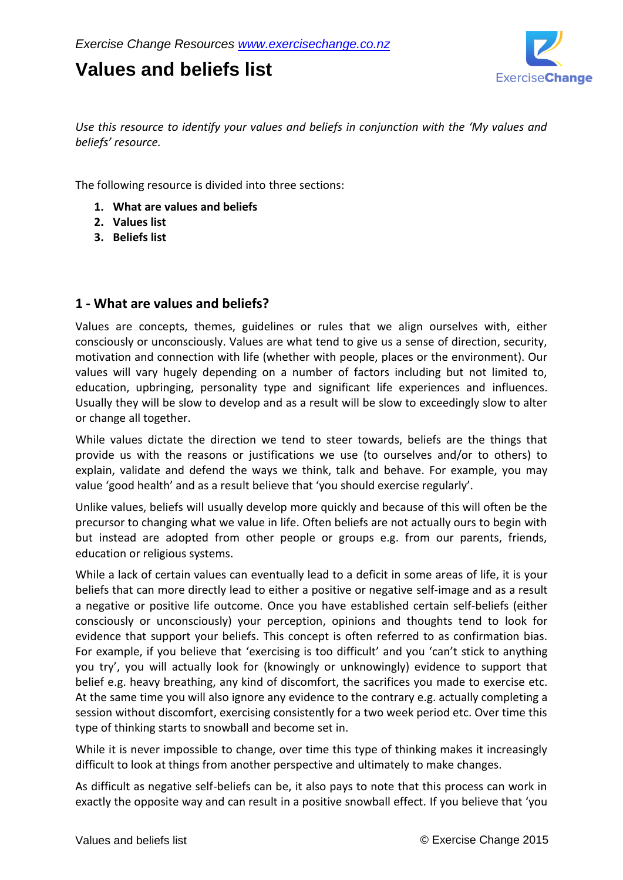## **Values and beliefs list**



*Use this resource to identify your values and beliefs in conjunction with the 'My values and beliefs' resource.*

The following resource is divided into three sections:

- **1. What are values and beliefs**
- **2. Values list**
- **3. Beliefs list**

## **1 - What are values and beliefs?**

Values are concepts, themes, guidelines or rules that we align ourselves with, either consciously or unconsciously. Values are what tend to give us a sense of direction, security, motivation and connection with life (whether with people, places or the environment). Our values will vary hugely depending on a number of factors including but not limited to, education, upbringing, personality type and significant life experiences and influences. Usually they will be slow to develop and as a result will be slow to exceedingly slow to alter or change all together.

While values dictate the direction we tend to steer towards, beliefs are the things that provide us with the reasons or justifications we use (to ourselves and/or to others) to explain, validate and defend the ways we think, talk and behave. For example, you may value 'good health' and as a result believe that 'you should exercise regularly'.

Unlike values, beliefs will usually develop more quickly and because of this will often be the precursor to changing what we value in life. Often beliefs are not actually ours to begin with but instead are adopted from other people or groups e.g. from our parents, friends, education or religious systems.

While a lack of certain values can eventually lead to a deficit in some areas of life, it is your beliefs that can more directly lead to either a positive or negative self-image and as a result a negative or positive life outcome. Once you have established certain self-beliefs (either consciously or unconsciously) your perception, opinions and thoughts tend to look for evidence that support your beliefs. This concept is often referred to as confirmation bias. For example, if you believe that 'exercising is too difficult' and you 'can't stick to anything you try', you will actually look for (knowingly or unknowingly) evidence to support that belief e.g. heavy breathing, any kind of discomfort, the sacrifices you made to exercise etc. At the same time you will also ignore any evidence to the contrary e.g. actually completing a session without discomfort, exercising consistently for a two week period etc. Over time this type of thinking starts to snowball and become set in.

While it is never impossible to change, over time this type of thinking makes it increasingly difficult to look at things from another perspective and ultimately to make changes.

As difficult as negative self-beliefs can be, it also pays to note that this process can work in exactly the opposite way and can result in a positive snowball effect. If you believe that 'you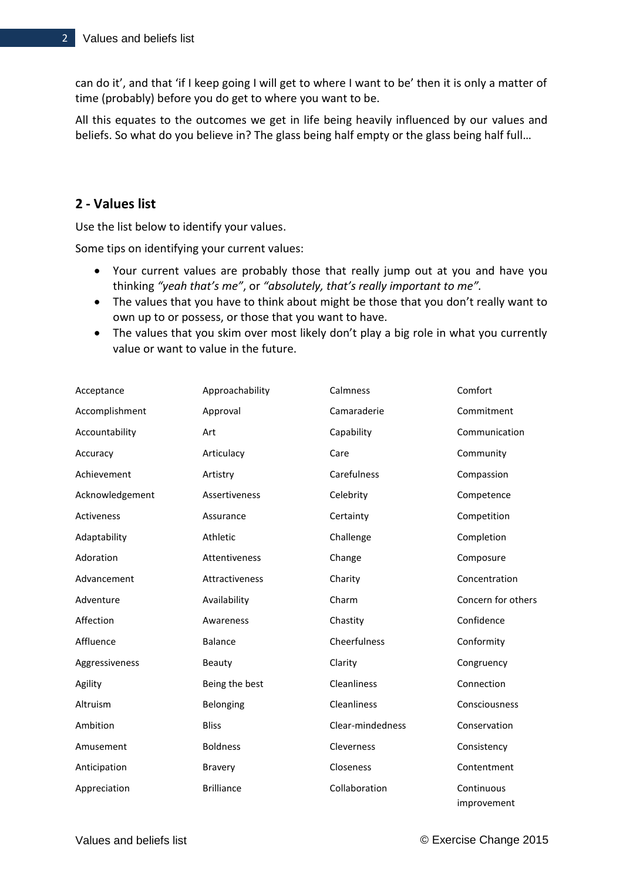can do it', and that 'if I keep going I will get to where I want to be' then it is only a matter of time (probably) before you do get to where you want to be.

All this equates to the outcomes we get in life being heavily influenced by our values and beliefs. So what do you believe in? The glass being half empty or the glass being half full...

## **2 - Values list**

Use the list below to identify your values.

Some tips on identifying your current values:

- Your current values are probably those that really jump out at you and have you thinking *"yeah that's me"*, or *"absolutely, that's really important to me".*
- The values that you have to think about might be those that you don't really want to own up to or possess, or those that you want to have.
- The values that you skim over most likely don't play a big role in what you currently value or want to value in the future.

| Acceptance      | Approachability   | Calmness           | Comfort                   |
|-----------------|-------------------|--------------------|---------------------------|
| Accomplishment  | Approval          | Camaraderie        | Commitment                |
| Accountability  | Art               | Capability         | Communication             |
| Accuracy        | Articulacy        | Care               | Community                 |
| Achievement     | Artistry          | Carefulness        | Compassion                |
| Acknowledgement | Assertiveness     | Celebrity          | Competence                |
| Activeness      | Assurance         | Certainty          | Competition               |
| Adaptability    | Athletic          | Challenge          | Completion                |
| Adoration       | Attentiveness     | Change             | Composure                 |
| Advancement     | Attractiveness    | Charity            | Concentration             |
| Adventure       | Availability      | Charm              | Concern for others        |
| Affection       | Awareness         | Chastity           | Confidence                |
| Affluence       | <b>Balance</b>    | Cheerfulness       | Conformity                |
| Aggressiveness  | Beauty            | Clarity            | Congruency                |
| Agility         | Being the best    | <b>Cleanliness</b> | Connection                |
| Altruism        | Belonging         | Cleanliness        | Consciousness             |
| Ambition        | <b>Bliss</b>      | Clear-mindedness   | Conservation              |
| Amusement       | <b>Boldness</b>   | Cleverness         | Consistency               |
| Anticipation    | <b>Bravery</b>    | Closeness          | Contentment               |
| Appreciation    | <b>Brilliance</b> | Collaboration      | Continuous<br>improvement |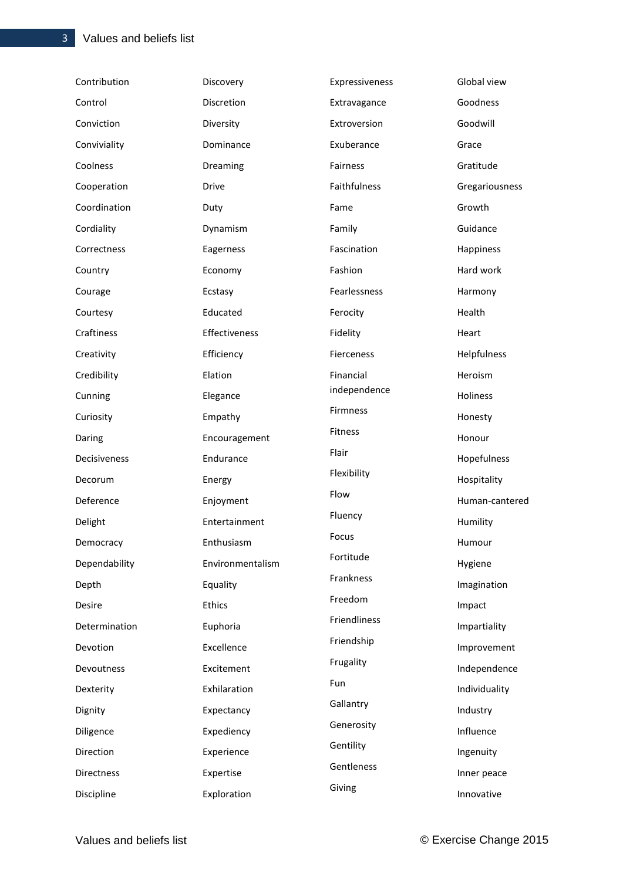| Contribution  | Discovery        | Expressiveness | Global view    |
|---------------|------------------|----------------|----------------|
| Control       | Discretion       | Extravagance   | Goodness       |
| Conviction    | Diversity        | Extroversion   | Goodwill       |
| Conviviality  | Dominance        | Exuberance     | Grace          |
| Coolness      | Dreaming         | Fairness       | Gratitude      |
| Cooperation   | Drive            | Faithfulness   | Gregariousness |
| Coordination  | Duty             | Fame           | Growth         |
| Cordiality    | Dynamism         | Family         | Guidance       |
| Correctness   | Eagerness        | Fascination    | Happiness      |
| Country       | Economy          | Fashion        | Hard work      |
| Courage       | Ecstasy          | Fearlessness   | Harmony        |
| Courtesy      | Educated         | Ferocity       | Health         |
| Craftiness    | Effectiveness    | Fidelity       | Heart          |
| Creativity    | Efficiency       | Fierceness     | Helpfulness    |
| Credibility   | Elation          | Financial      | Heroism        |
| Cunning       | Elegance         | independence   | Holiness       |
| Curiosity     | Empathy          | Firmness       | Honesty        |
| Daring        | Encouragement    | Fitness        | Honour         |
| Decisiveness  | Endurance        | Flair          | Hopefulness    |
| Decorum       | Energy           | Flexibility    | Hospitality    |
| Deference     | Enjoyment        | Flow           | Human-cantered |
| Delight       | Entertainment    | Fluency        | Humility       |
| Democracy     | Enthusiasm       | Focus          | Humour         |
| Dependability | Environmentalism | Fortitude      | Hygiene        |
| Depth         | Equality         | Frankness      | Imagination    |
| Desire        | <b>Ethics</b>    | Freedom        | Impact         |
| Determination | Euphoria         | Friendliness   | Impartiality   |
| Devotion      | Excellence       | Friendship     | Improvement    |
| Devoutness    | Excitement       | Frugality      | Independence   |
| Dexterity     | Exhilaration     | Fun            | Individuality  |
| Dignity       | Expectancy       | Gallantry      | Industry       |
| Diligence     | Expediency       | Generosity     | Influence      |
| Direction     | Experience       | Gentility      | Ingenuity      |
| Directness    | Expertise        | Gentleness     | Inner peace    |
| Discipline    | Exploration      | Giving         | Innovative     |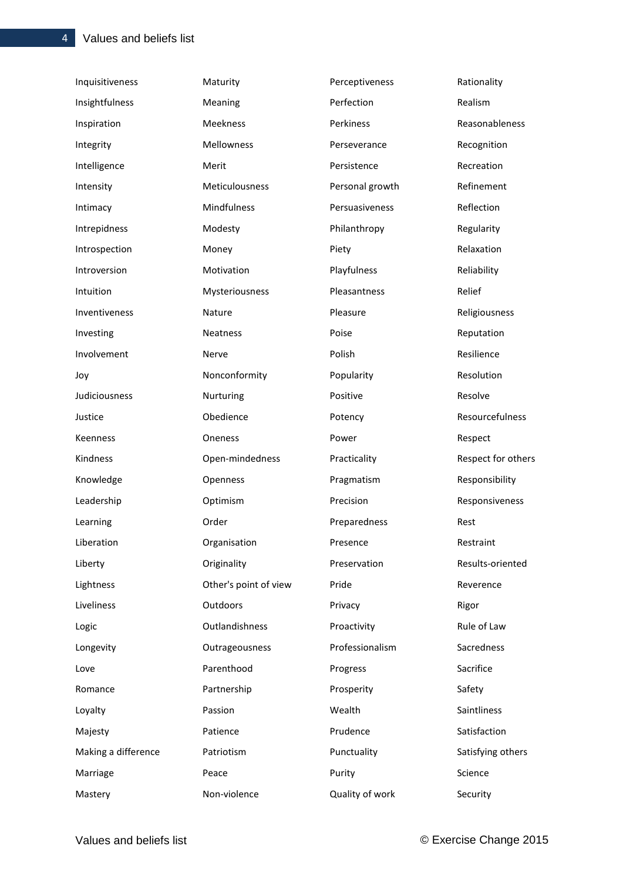| Inquisitiveness     | Maturity              | Perceptiveness  | Rationality        |
|---------------------|-----------------------|-----------------|--------------------|
| Insightfulness      | Meaning               | Perfection      | Realism            |
| Inspiration         | Meekness              | Perkiness       | Reasonableness     |
| Integrity           | Mellowness            | Perseverance    | Recognition        |
| Intelligence        | Merit                 | Persistence     | Recreation         |
| Intensity           | Meticulousness        | Personal growth | Refinement         |
| Intimacy            | Mindfulness           | Persuasiveness  | Reflection         |
| Intrepidness        | Modesty               | Philanthropy    | Regularity         |
| Introspection       | Money                 | Piety           | Relaxation         |
| Introversion        | Motivation            | Playfulness     | Reliability        |
| Intuition           | Mysteriousness        | Pleasantness    | Relief             |
| Inventiveness       | Nature                | Pleasure        | Religiousness      |
| Investing           | Neatness              | Poise           | Reputation         |
| Involvement         | Nerve                 | Polish          | Resilience         |
| Joy                 | Nonconformity         | Popularity      | Resolution         |
| Judiciousness       | Nurturing             | Positive        | Resolve            |
| Justice             | Obedience             | Potency         | Resourcefulness    |
| Keenness            | Oneness               | Power           | Respect            |
| Kindness            | Open-mindedness       | Practicality    | Respect for others |
| Knowledge           | Openness              | Pragmatism      | Responsibility     |
| Leadership          | Optimism              | Precision       | Responsiveness     |
| Learning            | Order                 | Preparedness    | Rest               |
| Liberation          | Organisation          | Presence        | Restraint          |
| Liberty             | Originality           | Preservation    | Results-oriented   |
| Lightness           | Other's point of view | Pride           | Reverence          |
| Liveliness          | Outdoors              | Privacy         | Rigor              |
| Logic               | Outlandishness        | Proactivity     | Rule of Law        |
| Longevity           | Outrageousness        | Professionalism | Sacredness         |
| Love                | Parenthood            | Progress        | Sacrifice          |
| Romance             | Partnership           | Prosperity      | Safety             |
| Loyalty             | Passion               | Wealth          | Saintliness        |
| Majesty             | Patience              | Prudence        | Satisfaction       |
| Making a difference | Patriotism            | Punctuality     | Satisfying others  |
| Marriage            | Peace                 | Purity          | Science            |
| Mastery             | Non-violence          | Quality of work | Security           |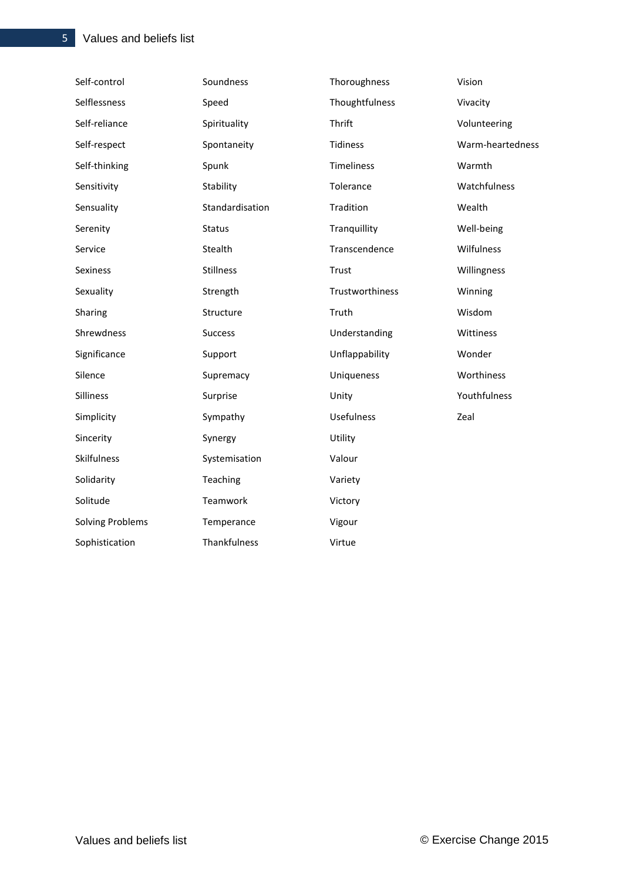| Self-control            | Soundness        | Thoroughness      | Vision           |
|-------------------------|------------------|-------------------|------------------|
| Selflessness            | Speed            | Thoughtfulness    | Vivacity         |
| Self-reliance           | Spirituality     | Thrift            | Volunteering     |
| Self-respect            | Spontaneity      | <b>Tidiness</b>   | Warm-heartedness |
| Self-thinking           | Spunk            | <b>Timeliness</b> | Warmth           |
| Sensitivity             | Stability        | Tolerance         | Watchfulness     |
| Sensuality              | Standardisation  | Tradition         | Wealth           |
| Serenity                | <b>Status</b>    | Tranquillity      | Well-being       |
| Service                 | Stealth          | Transcendence     | Wilfulness       |
| Sexiness                | <b>Stillness</b> | Trust             | Willingness      |
| Sexuality               | Strength         | Trustworthiness   | Winning          |
| Sharing                 | Structure        | Truth             | Wisdom           |
| Shrewdness              | <b>Success</b>   | Understanding     | Wittiness        |
| Significance            | Support          | Unflappability    | Wonder           |
| Silence                 | Supremacy        | Uniqueness        | Worthiness       |
| Silliness               | Surprise         | Unity             | Youthfulness     |
| Simplicity              | Sympathy         | <b>Usefulness</b> | Zeal             |
| Sincerity               | Synergy          | Utility           |                  |
| Skilfulness             | Systemisation    | Valour            |                  |
| Solidarity              | Teaching         | Variety           |                  |
| Solitude                | Teamwork         | Victory           |                  |
| <b>Solving Problems</b> | Temperance       | Vigour            |                  |
| Sophistication          | Thankfulness     | Virtue            |                  |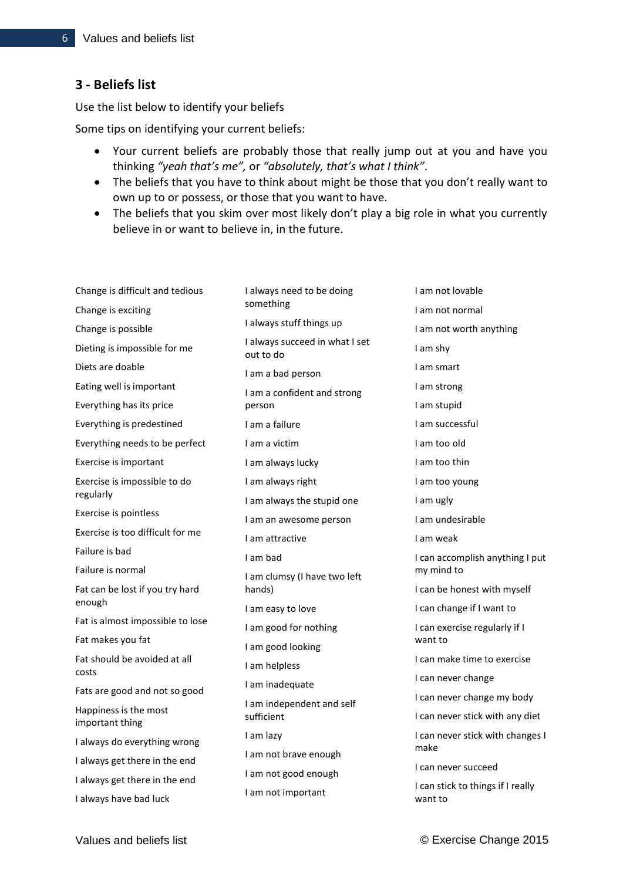## **3 - Beliefs list**

Use the list below to identify your beliefs

Some tips on identifying your current beliefs:

- Your current beliefs are probably those that really jump out at you and have you thinking *"yeah that's me",* or *"absolutely, that's what I think"*.
- The beliefs that you have to think about might be those that you don't really want to own up to or possess, or those that you want to have.
- The beliefs that you skim over most likely don't play a big role in what you currently believe in or want to believe in, in the future.

| Change is difficult and tedious          | I always need to be doing                   | I am not lovable                             |
|------------------------------------------|---------------------------------------------|----------------------------------------------|
| Change is exciting                       | something                                   | I am not normal                              |
| Change is possible                       | I always stuff things up                    | I am not worth anything                      |
| Dieting is impossible for me             | I always succeed in what I set<br>out to do | I am shy                                     |
| Diets are doable                         | I am a bad person                           | I am smart                                   |
| Eating well is important                 | I am a confident and strong                 | I am strong                                  |
| Everything has its price                 | person                                      | I am stupid                                  |
| Everything is predestined                | I am a failure                              | I am successful                              |
| Everything needs to be perfect           | I am a victim                               | I am too old                                 |
| Exercise is important                    | I am always lucky                           | I am too thin                                |
| Exercise is impossible to do             | I am always right                           | I am too young                               |
| regularly                                | I am always the stupid one                  | I am ugly                                    |
| Exercise is pointless                    | I am an awesome person                      | I am undesirable                             |
| Exercise is too difficult for me         | I am attractive                             | I am weak                                    |
| Failure is bad                           | I am bad                                    | I can accomplish anything I put              |
| Failure is normal                        | I am clumsy (I have two left                | my mind to                                   |
| Fat can be lost if you try hard          | hands)                                      | I can be honest with myself                  |
| enough                                   | I am easy to love                           | I can change if I want to                    |
| Fat is almost impossible to lose         | I am good for nothing                       | I can exercise regularly if I                |
| Fat makes you fat                        | I am good looking                           | want to                                      |
| Fat should be avoided at all<br>costs    | I am helpless                               | I can make time to exercise                  |
| Fats are good and not so good            | I am inadequate                             | I can never change                           |
|                                          | I am independent and self                   | I can never change my body                   |
| Happiness is the most<br>important thing | sufficient                                  | I can never stick with any diet              |
| I always do everything wrong             | I am lazy                                   | I can never stick with changes I             |
| I always get there in the end            | I am not brave enough                       | make                                         |
| I always get there in the end            | I am not good enough                        | I can never succeed                          |
| I always have bad luck                   | I am not important                          | I can stick to things if I really<br>want to |
|                                          |                                             |                                              |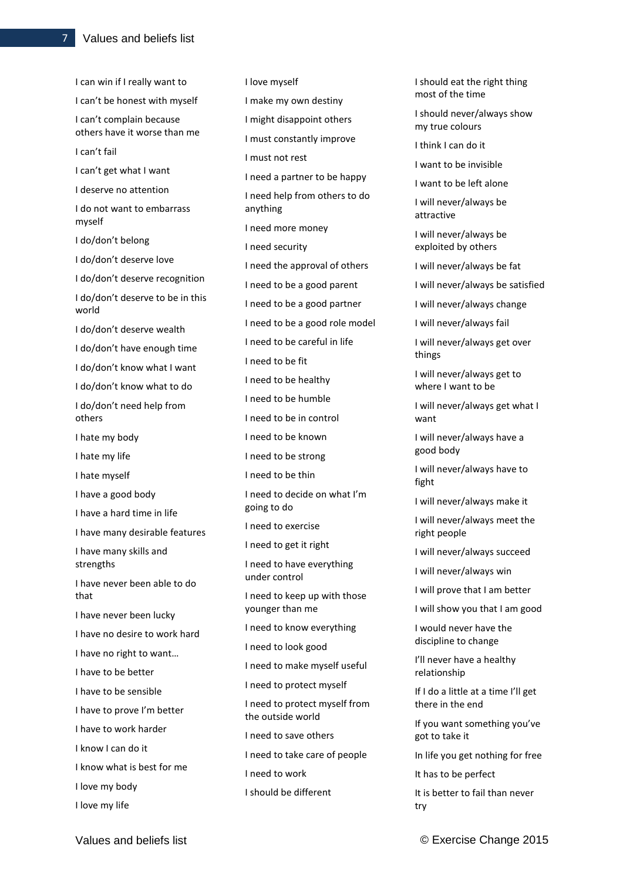I can win if I really want to I can't be honest with myself I can't complain because others have it worse than me I can't fail I can't get what I want I deserve no attention I do not want to embarrass myself I do/don't belong I do/don't deserve love I do/don't deserve recognition I do/don't deserve to be in this world I do/don't deserve wealth I do/don't have enough time I do/don't know what I want I do/don't know what to do I do/don't need help from others I hate my body I hate my life I hate myself I have a good body I have a hard time in life I have many desirable features I have many skills and strengths I have never been able to do that I have never been lucky I have no desire to work hard I have no right to want… I have to be better I have to be sensible I have to prove I'm better I have to work harder I know I can do it I know what is best for me I love my body

I love myself I make my own destiny I might disappoint others I must constantly improve I must not rest I need a partner to be happy I need help from others to do anything I need more money I need security I need the approval of others I need to be a good parent I need to be a good partner I need to be a good role model I need to be careful in life I need to be fit I need to be healthy I need to be humble I need to be in control I need to be known I need to be strong I need to be thin I need to decide on what I'm going to do I need to exercise I need to get it right I need to have everything under control I need to keep up with those younger than me I need to know everything I need to look good I need to make myself useful I need to protect myself I need to protect myself from the outside world I need to save others I need to take care of people I need to work I should be different

I should eat the right thing most of the time I should never/always show my true colours I think I can do it I want to be invisible I want to be left alone I will never/always be attractive I will never/always be exploited by others I will never/always be fat I will never/always be satisfied I will never/always change I will never/always fail I will never/always get over things I will never/always get to where I want to be I will never/always get what I want I will never/always have a good body I will never/always have to fight I will never/always make it I will never/always meet the right people I will never/always succeed I will never/always win I will prove that I am better I will show you that I am good I would never have the discipline to change I'll never have a healthy relationship If I do a little at a time I'll get there in the end If you want something you've got to take it In life you get nothing for free It has to be perfect It is better to fail than never

I love my life

try